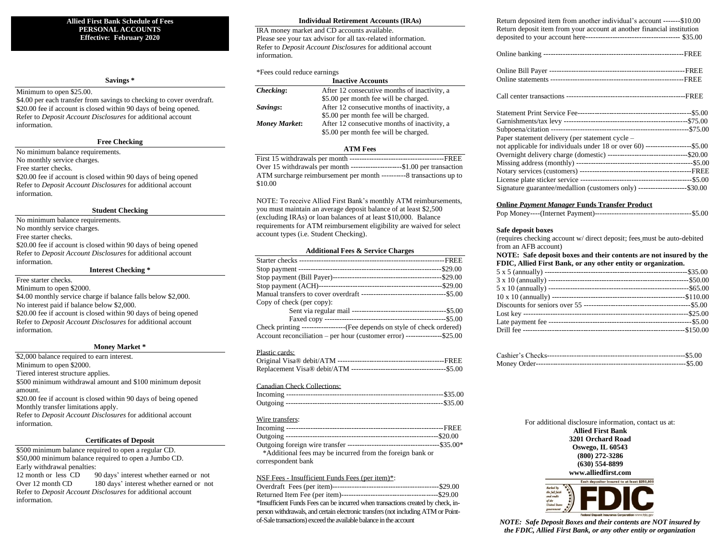## **Allied First Bank Schedule of Fees PERSONAL ACCOUNTS Effective: February 2020**

## **Savings \***

## Minimum to open \$25.00.

\$4.00 per each transfer from savings to checking to cover overdraft. \$20.00 fee if account is closed within 90 days of being opened. Refer to *Deposit Account Disclosures* for additional account information.

# **Free Checking**

No minimum balance requirements.

No monthly service charges.

Free starter checks.

\$20.00 fee if account is closed within 90 days of being opened Refer to *Deposit Account Disclosures* for additional account information.

## **Student Checking**

No minimum balance requirements. No monthly service charges. Free starter checks. \$20.00 fee if account is closed within 90 days of being opened Refer to *Deposit Account Disclosures* for additional account information.

### **Interest Checking \***

Free starter checks. Minimum to open \$2000. \$4.00 monthly service charge if balance falls below \$2,000. No interest paid if balance below \$2,000. \$20.00 fee if account is closed within 90 days of being opened Refer to *Deposit Account Disclosures* for additional account information.

### **Money Market \***

\$2,000 balance required to earn interest. Minimum to open \$2000. Tiered interest structure applies. \$500 minimum withdrawal amount and \$100 minimum deposit amount.

\$20.00 fee if account is closed within 90 days of being opened Monthly transfer limitations apply.

Refer to *Deposit Account Disclosures* for additional account information.

## **Certificates of Deposit**

\$500 minimum balance required to open a regular CD. \$50,000 minimum balance required to open a Jumbo CD. Early withdrawal penalties:

12 month or less CD 90 days' interest whether earned or not Over 12 month CD 180 days' interest whether earned or not Refer to *Deposit Account Disclosures* for additional account information.

#### **Individual Retirement Accounts (IRAs)**

IRA money market and CD accounts available. Please see your tax advisor for all tax-related information. Refer to *Deposit Account Disclosures* for additional account information.

### \*Fees could reduce earnings

| <b>Inactive Accounts</b> |                                              |  |
|--------------------------|----------------------------------------------|--|
| Checking:                | After 12 consecutive months of inactivity, a |  |
|                          | \$5.00 per month fee will be charged.        |  |
| Savings:                 | After 12 consecutive months of inactivity, a |  |
|                          | \$5.00 per month fee will be charged.        |  |
| <b>Money Market:</b>     | After 12 consecutive months of inactivity, a |  |
|                          | \$5.00 per month fee will be charged.        |  |

## **ATM Fees**

| Over 15 withdrawals per month --------------------\$1.00 per transaction |
|--------------------------------------------------------------------------|
| ATM surcharge reimbursement per month ----------8 transactions up to     |
| \$10.00                                                                  |

NOTE: To receive Allied First Bank's monthly ATM reimbursements, you must maintain an average deposit balance of at least \$2,500 (excluding IRAs) or loan balances of at least \$10,000. Balance requirements for ATM reimbursement eligibility are waived for select account types (i.e. Student Checking).

#### **Additional Fees & Service Charges**

| Copy of check (per copy):                                                   |
|-----------------------------------------------------------------------------|
|                                                                             |
|                                                                             |
| Check printing ---------------------(Fee depends on style of check ordered) |
| Account reconciliation – per hour (customer error) ---------------\$25.00   |

#### Plastic cards:

## Canadian Check Collections:

#### Wire transfers:

| *Additional fees may be incurred from the foreign bank or |  |
|-----------------------------------------------------------|--|
| correspondent bank                                        |  |

#### NSF Fees - Insufficient Funds Fees (per item)\*:

| *Insufficient Funds Fees can be incurred when transactions created by check, in-  |
|-----------------------------------------------------------------------------------|
| person withdrawals, and certain electronic transfers (not including ATM or Point- |
| of-Sale transactions) exceed the available balance in the account                 |

| return deposited nem from another marvidual s'account<br>Return deposit item from your account at another financial institution |  |
|---------------------------------------------------------------------------------------------------------------------------------|--|
|                                                                                                                                 |  |
|                                                                                                                                 |  |
|                                                                                                                                 |  |
|                                                                                                                                 |  |
|                                                                                                                                 |  |
|                                                                                                                                 |  |
|                                                                                                                                 |  |
|                                                                                                                                 |  |
| Paper statement delivery (per statement cycle -                                                                                 |  |
| not applicable for individuals under 18 or over 60) --------------------\$5.00                                                  |  |
| Overnight delivery charge (domestic) -----------------------------------\$20.00                                                 |  |
|                                                                                                                                 |  |
|                                                                                                                                 |  |
|                                                                                                                                 |  |
| Signature guarantee/medallion (customers only) ---------------------\$30.00                                                     |  |
| <b>Online Payment Manager Funds Transfer Product</b>                                                                            |  |
|                                                                                                                                 |  |
|                                                                                                                                 |  |

 $Paturn$  deposited item from another individual's account  $$10.00$ 

#### **Safe deposit boxes**

(requires checking account w/ direct deposit; fees must be auto-debited from an AFB account)

| $11.0111$ and $11.01$ are $0.0111$                                 |  |
|--------------------------------------------------------------------|--|
| NOTE: Safe deposit boxes and their contents are not insured by the |  |
| FDIC, Allied First Bank, or any other entity or organization.      |  |

For additional disclosure information, contact us at: **Allied First Bank 3201 Orchard Road Oswego, IL 60543 (800) 272-3286 (630) 554-8899 www.alliedfirst.com Fach depositor insured to at least \$250.00** 



*NOTE: Safe Deposit Boxes and their contents are NOT insured by the FDIC, Allied First Bank, or any other entity or organization*